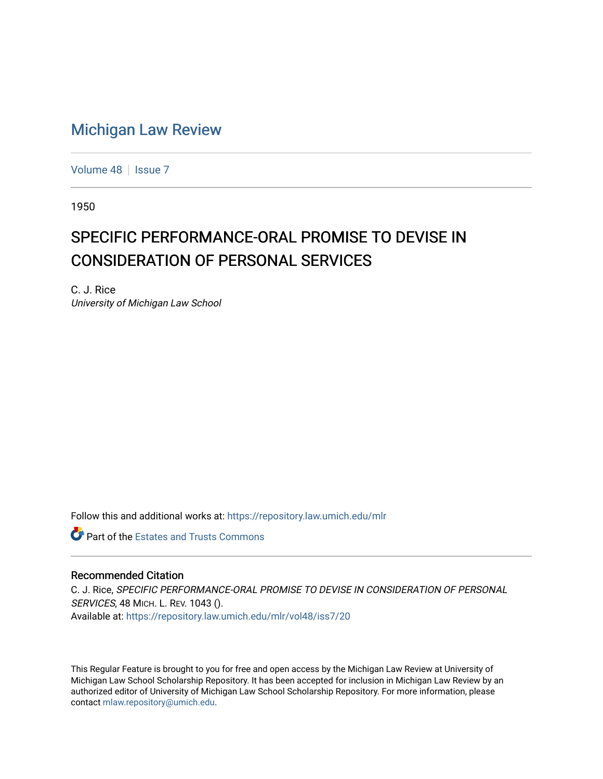## [Michigan Law Review](https://repository.law.umich.edu/mlr)

[Volume 48](https://repository.law.umich.edu/mlr/vol48) | [Issue 7](https://repository.law.umich.edu/mlr/vol48/iss7)

1950

## SPECIFIC PERFORMANCE-ORAL PROMISE TO DEVISE IN CONSIDERATION OF PERSONAL SERVICES

C. J. Rice University of Michigan Law School

Follow this and additional works at: [https://repository.law.umich.edu/mlr](https://repository.law.umich.edu/mlr?utm_source=repository.law.umich.edu%2Fmlr%2Fvol48%2Fiss7%2F20&utm_medium=PDF&utm_campaign=PDFCoverPages) 

**Part of the Estates and Trusts Commons** 

## Recommended Citation

C. J. Rice, SPECIFIC PERFORMANCE-ORAL PROMISE TO DEVISE IN CONSIDERATION OF PERSONAL SERVICES, 48 MICH. L. REV. 1043 (). Available at: [https://repository.law.umich.edu/mlr/vol48/iss7/20](https://repository.law.umich.edu/mlr/vol48/iss7/20?utm_source=repository.law.umich.edu%2Fmlr%2Fvol48%2Fiss7%2F20&utm_medium=PDF&utm_campaign=PDFCoverPages) 

This Regular Feature is brought to you for free and open access by the Michigan Law Review at University of Michigan Law School Scholarship Repository. It has been accepted for inclusion in Michigan Law Review by an authorized editor of University of Michigan Law School Scholarship Repository. For more information, please contact [mlaw.repository@umich.edu](mailto:mlaw.repository@umich.edu).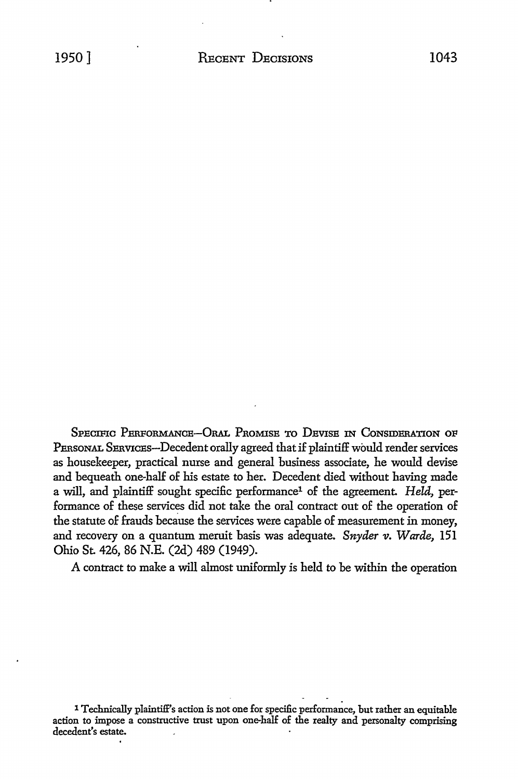SPECIFIC PERFORMANCE-ORAL PROMISE TO DEVISE IN CONSIDERATION OF PERSONAL SERVICES-Decedent orally agreed that if plaintiff would render services as housekeeper, practical muse and general business associate, he would devise and bequeath one-half of his estate to her. Decedent died without having made a will, and plaintiff sought specific performance1 of the agreement. *Held,* performance of these services did not take the oral contract out of the operation of the statute of frauds because the services were capable of measurement in money, and recovery on a quantum meruit basis was adequate. Snyder v. Warde, 151 Ohio St. 426, 86 N.E. (2d) 489 (1949).

A contract to make a will almost uniformly is held to be within the operation

<sup>1</sup> Technically plaintiff's action is not one for specific performance, but rather an equitable action to impose a constructive trust upon one-half *oE* the realty and personalty comprising decedent's estate.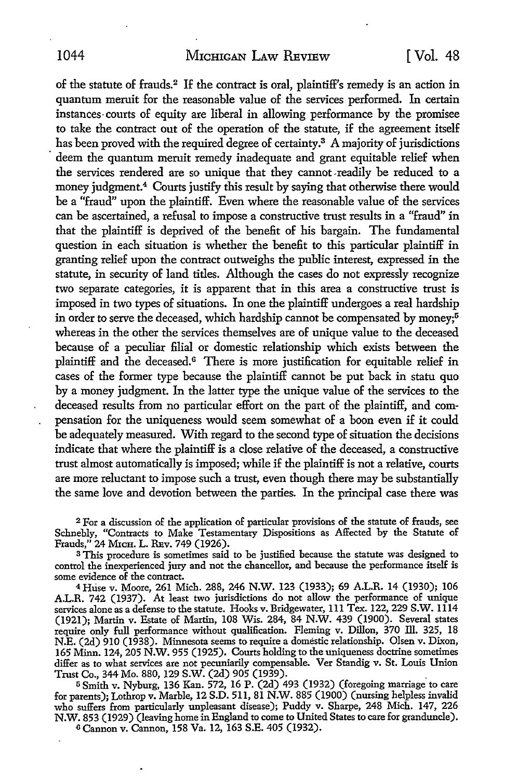of the statute of frauds.<sup>2</sup> If the contract is oral, plaintiff's remedy is an action in quantum meruit for the reasonable value of the services performed. In certain instances· courts of equity are liberal in allowing performance by the promisee to take the contract out of the operation of the statute, if the agreement itself has been proved with the required degree of certainty.<sup>3</sup> A majority of jurisdictions deem the quantum meruit remedy inadequate and grant equitable relief when the services rendered are so unique that they cannot-readily be reduced to a money judgment.<sup>4</sup> Courts justify this result by saying that otherwise there would be a "fraud" upon the plaintiff. Even where the reasonable value of the services can be ascertained, a refusal to impose a constructive trust results in a "fraud" in that the plaintiff is deprived of the benefit of his bargain. The fundamental question in each situation is whether the benefit to this particular plaintiff in granting relief upon the contract outweighs the public interest, expressed in the statute, in security of land titles. Although the cases do not expressly recognize two separate categories, it is apparent that in this area a constructive trust is imposed in two types of situations. In one the plaintiff undergoes a real hardship in order to serve the deceased, which hardship cannot be compensated by money;<sup>5</sup> whereas in the other the services themselves are of unique value to the deceased because of a peculiar filial or domestic relationship which exists between the plaintiff and the deceased.6 There is more justification for equitable relief in cases of the former type because the plaintiff cannot be put back in statu quo by a money judgment. In the latter type the unique value of the services to the deceased results from no particular effort on the part of the plaintiff, and compensation for the uniqueness would seem somewhat of a boon even if it could be adequately measured. With regard to the second type of situation the decisions indicate that where the plaintiff is a close relative of the deceased, a constructive trust almost automatically is imposed; while if the plaintiff is not a relative, courts are more reluctant to impose such a trust, even though there may be substantially the same love and devotion between the parties. In the principal case there was

<sup>2</sup>For a discussion of the application of particular provisions of the statute of frauds, see Schnebly, "Contracts to Make Testamentary Dispositions as Affected by the Statute of Frauds," 24 MicH. L. REv. 749 (1926).

<sup>3</sup>This procedure is sometimes said to be justified because the statute was designed to control the inexperienced jury and not the chancellor, and because the performance itself is some evidence of the contract.

4 Huse v. l,\({oore, 261 Mich. 288, 246 **N.W.** 123 (1933); 69 A.L.R. 14 (1930); 106 A.L.R. 742 (1937). At least two jurisdictions do not allow the performance of unique services alone as a defense to the statute. Hooks v. Bridgewater, 111 Tex. 122, 229 S.W. 1114 (1921); Martin v. Estate of Martin, 108 Wis. 284, 84 N.W. 439 (1900). Several states require only full performance without qualification. Fleming v. Dillon, 370 Ill. 325, 18 N.E. (2d) 910 (1938). Minnesota seems to require a domestic relationship. Olsen v. Dixon, 165 Minn. 124, 205 N.W. 955 (1925). Courts holding to the uniqueness doctrine sometimes differ as to what services are not pecuniarily compensable. Ver Standig v. St. Louis Union Trust Co., 344 Mo. 880, 129 S.W. (2d) 905 (1939). .

<sup>5</sup>Smith v. Nyburg, 136 Kan. 572, 16 P. (2d) 493 (1932) (foregoing marriage to care for parents); Lothrop v. Marble, 12 S.D. 511, 81 N.W. 885 (1900) (nursing helpless invalid who suffers from particularly unpleasant disease); Puddy v. Sharpe, 248 Mich. 147, 226 N.W. 853 (1929) (leaving home in England to come to United States to care for granduncle). 6 Cannon v. Cannon, 158 Va. 12, 163 S.E. 405 (1932).